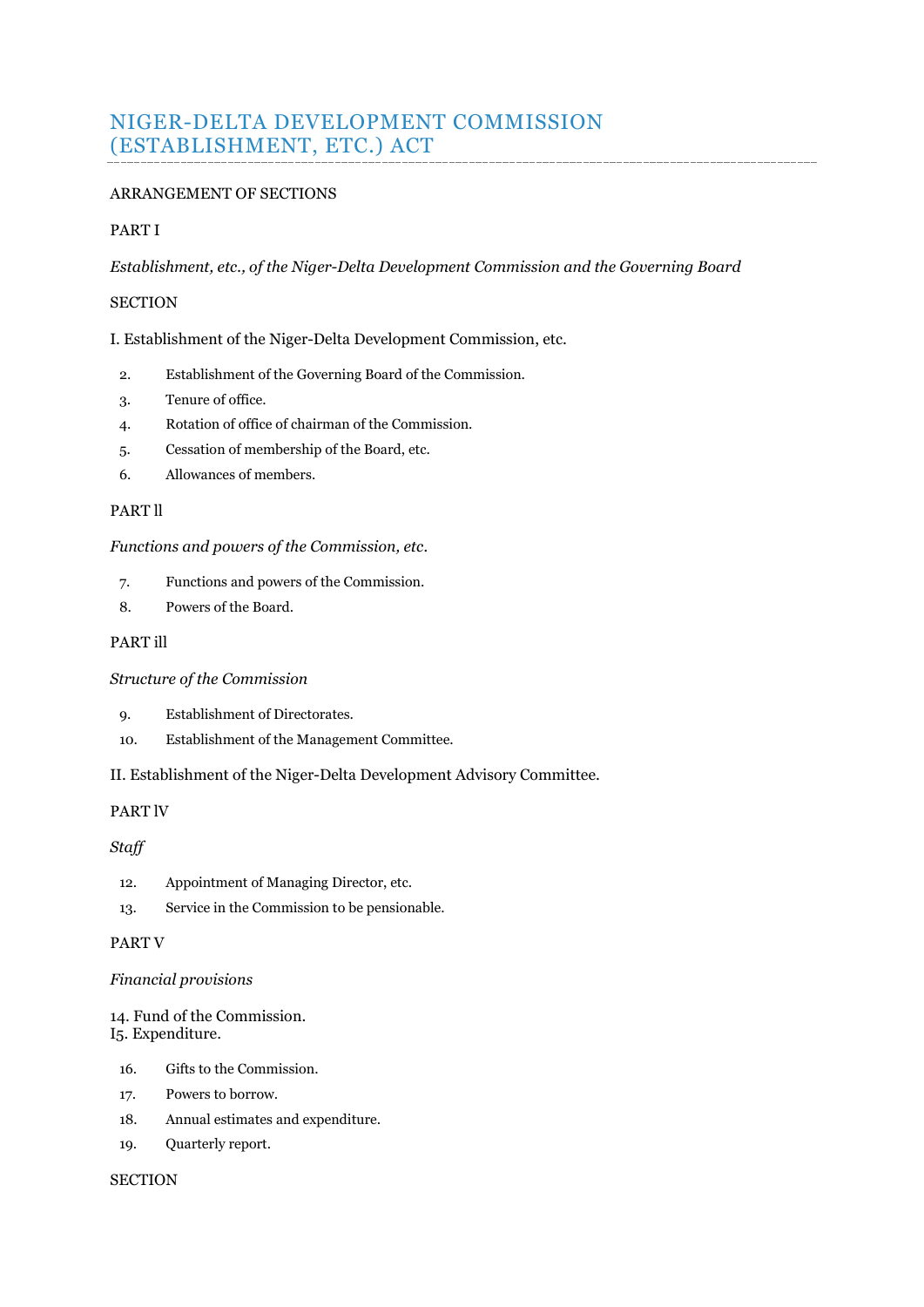# NIGER-DELTA DEVELOPMENT COMMISSION (ESTABLISHMENT, ETC.) ACT

# ARRANGEMENT OF SECTIONS

## PART I

*Establishment, etc., of the Niger-Delta Development Commission and the Governing Board*

## **SECTION**

I. Establishment of the Niger-Delta Development Commission, etc.

- 2. Establishment of the Governing Board of the Commission.
- 3. Tenure of office.
- 4. Rotation of office of chairman of the Commission.
- 5. Cessation of membership of the Board, etc.
- 6. Allowances of members.

## PART ll

*Functions and powers of the Commission, etc.*

- 7. Functions and powers of the Commission.
- 8. Powers of the Board.

#### PART ill

## *Structure of the Commission*

- 9. Establishment of Directorates.
- 10. Establishment of the Management Committee.
- II. Establishment of the Niger-Delta Development Advisory Committee.

## PART lV

*Staff*

- 12. Appointment of Managing Director, etc.
- 13. Service in the Commission to be pensionable.

## PART V

## *Financial provisions*

## 14. Fund of the Commission. I5. Expenditure.

- 16. Gifts to the Commission.
- 17. Powers to borrow.
- 18. Annual estimates and expenditure.
- 19. Quarterly report.

#### **SECTION**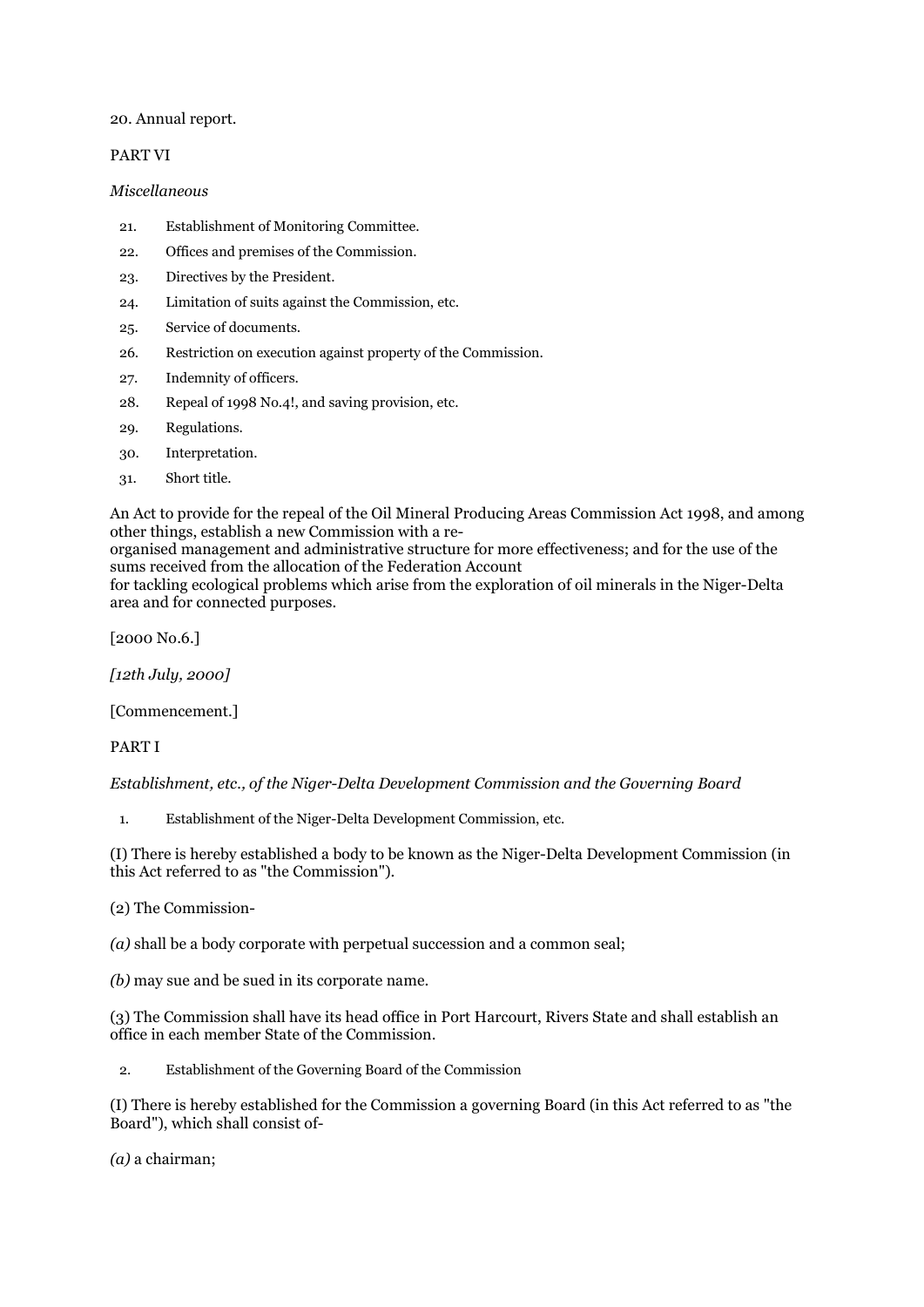#### 20. Annual report.

## PART VI

#### *Miscellaneous*

- 21. Establishment of Monitoring Committee.
- 22. Offices and premises of the Commission.
- 23. Directives by the President.
- 24. Limitation of suits against the Commission, etc.
- 25. Service of documents.
- 26. Restriction on execution against property of the Commission.
- 27. Indemnity of officers.
- 28. Repeal of 1998 No.4!, and saving provision, etc.
- 29. Regulations.
- 30. Interpretation.
- 31. Short title.

An Act to provide for the repeal of the Oil Mineral Producing Areas Commission Act 1998, and among other things, establish a new Commission with a re-

organised management and administrative structure for more effectiveness; and for the use of the sums received from the allocation of the Federation Account

for tackling ecological problems which arise from the exploration of oil minerals in the Niger-Delta area and for connected purposes.

[2000 No.6.]

*[12th July, 2000]*

[Commencement.]

PART I

*Establishment, etc., of the Niger-Delta Development Commission and the Governing Board*

1. Establishment of the Niger-Delta Development Commission, etc.

(I) There is hereby established a body to be known as the Niger-Delta Development Commission (in this Act referred to as "the Commission").

(2) The Commission-

*(a)* shall be a body corporate with perpetual succession and a common seal;

*(b)* may sue and be sued in its corporate name.

(3) The Commission shall have its head office in Port Harcourt, Rivers State and shall establish an office in each member State of the Commission.

2. Establishment of the Governing Board of the Commission

(I) There is hereby established for the Commission a governing Board (in this Act referred to as "the Board"), which shall consist of-

*(a)* a chairman;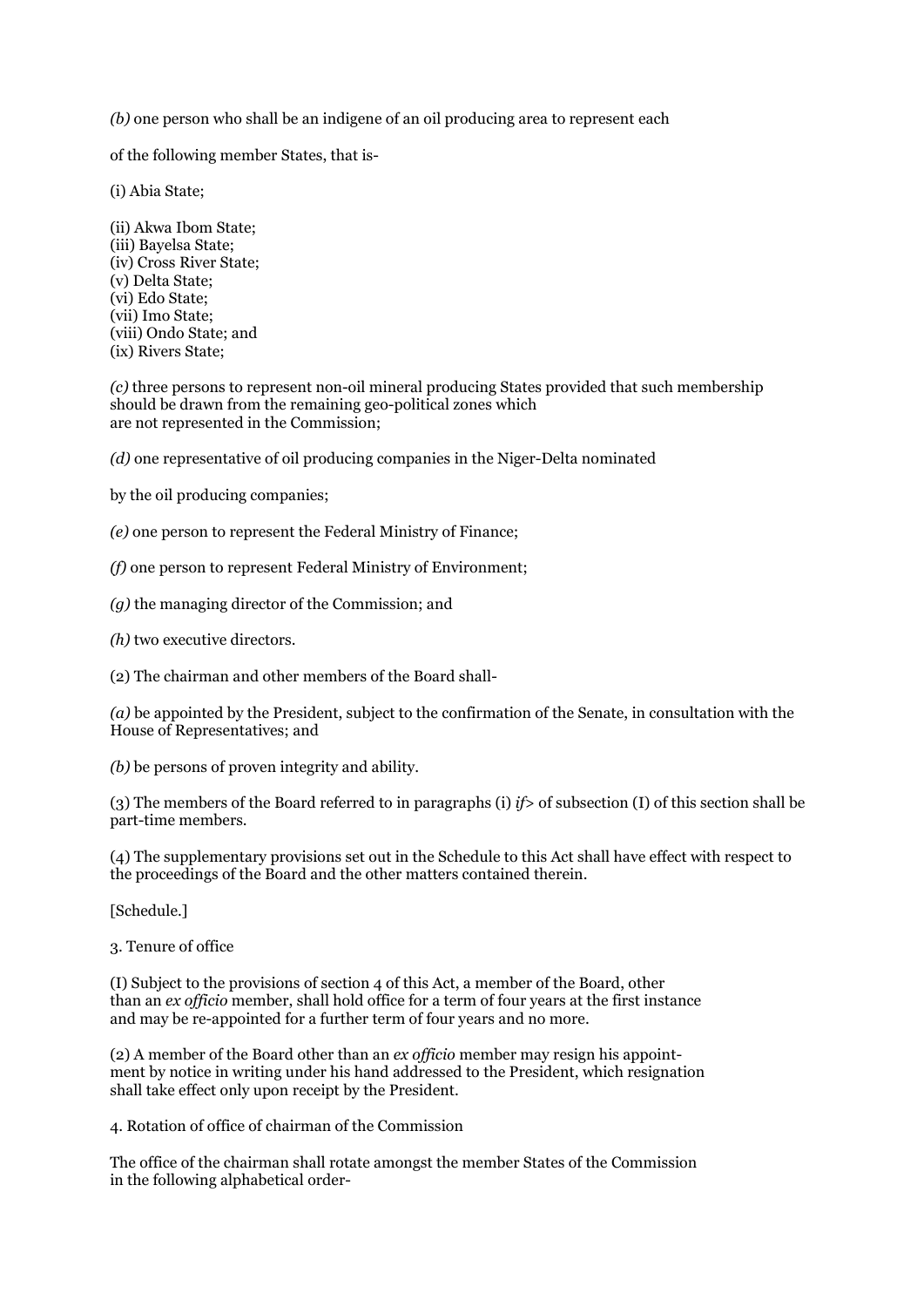*(b)* one person who shall be an indigene of an oil producing area to represent each

of the following member States, that is-

(i) Abia State;

(ii) Akwa Ibom State; (iii) Bayelsa State; (iv) Cross River State; (v) Delta State; (vi) Edo State; (vii) Imo State; (viii) Ondo State; and (ix) Rivers State;

*(c)* three persons to represent non-oil mineral producing States provided that such membership should be drawn from the remaining geo-political zones which are not represented in the Commission;

*(d)* one representative of oil producing companies in the Niger-Delta nominated

by the oil producing companies;

*(e)* one person to represent the Federal Ministry of Finance;

*(f)* one person to represent Federal Ministry of Environment;

*(g)* the managing director of the Commission; and

*(h)* two executive directors.

(2) The chairman and other members of the Board shall-

*(a)* be appointed by the President, subject to the confirmation of the Senate, in consultation with the House of Representatives; and

*(b)* be persons of proven integrity and ability.

(3) The members of the Board referred to in paragraphs (i) *if>* of subsection (I) of this section shall be part-time members.

(4) The supplementary provisions set out in the Schedule to this Act shall have effect with respect to the proceedings of the Board and the other matters contained therein.

[Schedule.]

3. Tenure of office

(I) Subject to the provisions of section 4 of this Act, a member of the Board, other than an *ex officio* member, shall hold office for a term of four years at the first instance and may be re-appointed for a further term of four years and no more.

(2) A member of the Board other than an *ex officio* member may resign his appointment by notice in writing under his hand addressed to the President, which resignation shall take effect only upon receipt by the President.

4. Rotation of office of chairman of the Commission

The office of the chairman shall rotate amongst the member States of the Commission in the following alphabetical order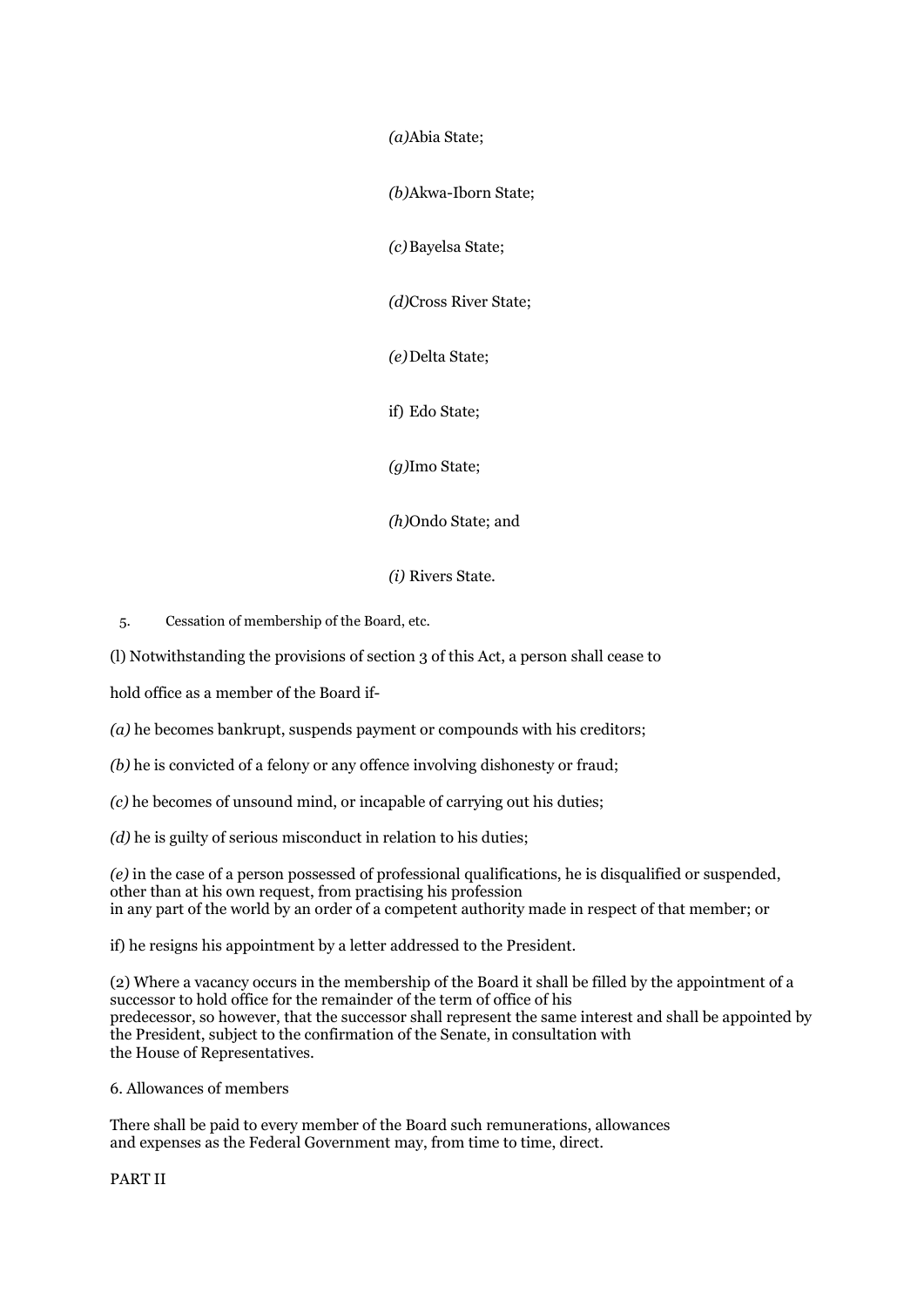*(a)*Abia State; *(b)*Akwa-Iborn State; *(c)*Bayelsa State; *(d)*Cross River State; *(e)*Delta State; if) Edo State; *(g)*Imo State; *(h)*Ondo State; and

*(i)* Rivers State.

5. Cessation of membership of the Board, etc.

(l) Notwithstanding the provisions of section 3 of this Act, a person shall cease to

hold office as a member of the Board if-

*(a)* he becomes bankrupt, suspends payment or compounds with his creditors;

*(b)* he is convicted of a felony or any offence involving dishonesty or fraud;

*(c)* he becomes of unsound mind, or incapable of carrying out his duties;

*(d)* he is guilty of serious misconduct in relation to his duties;

*(e)* in the case of a person possessed of professional qualifications, he is disqualified or suspended, other than at his own request, from practising his profession in any part of the world by an order of a competent authority made in respect of that member; or

if) he resigns his appointment by a letter addressed to the President.

(2) Where a vacancy occurs in the membership of the Board it shall be filled by the appointment of a successor to hold office for the remainder of the term of office of his predecessor, so however, that the successor shall represent the same interest and shall be appointed by the President, subject to the confirmation of the Senate, in consultation with the House of Representatives.

6. Allowances of members

There shall be paid to every member of the Board such remunerations, allowances and expenses as the Federal Government may, from time to time, direct.

PART II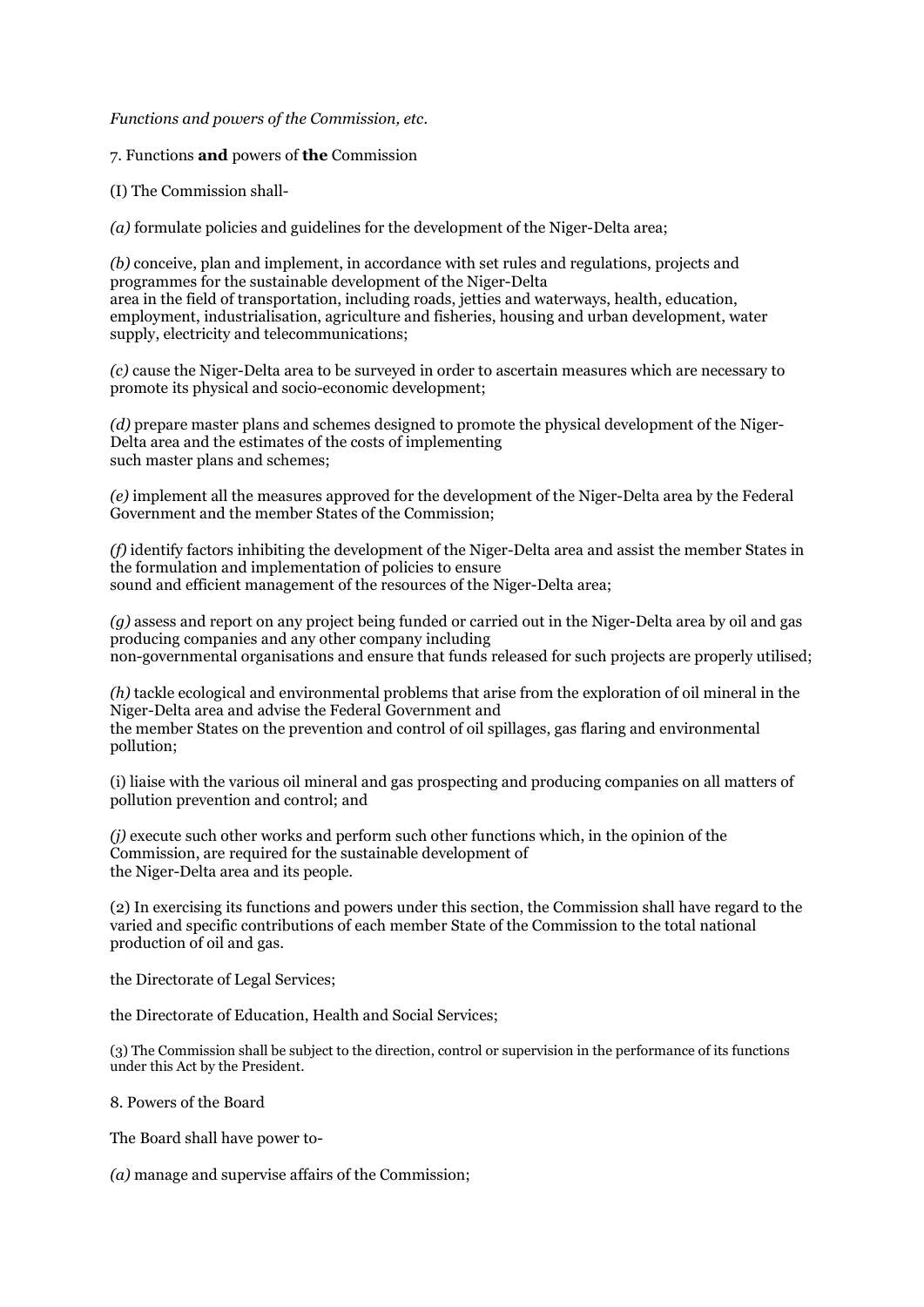#### *Functions and powers of the Commission, etc.*

7. Functions **and** powers of **the** Commission

(I) The Commission shall-

*(a)* formulate policies and guidelines for the development of the Niger-Delta area;

*(b)* conceive, plan and implement, in accordance with set rules and regulations, projects and programmes for the sustainable development of the Niger-Delta area in the field of transportation, including roads, jetties and waterways, health, education, employment, industrialisation, agriculture and fisheries, housing and urban development, water supply, electricity and telecommunications;

*(c)* cause the Niger-Delta area to be surveyed in order to ascertain measures which are necessary to promote its physical and socio-economic development;

*(d)* prepare master plans and schemes designed to promote the physical development of the Niger-Delta area and the estimates of the costs of implementing such master plans and schemes;

*(e)* implement all the measures approved for the development of the Niger-Delta area by the Federal Government and the member States of the Commission;

*(f)* identify factors inhibiting the development of the Niger-Delta area and assist the member States in the formulation and implementation of policies to ensure sound and efficient management of the resources of the Niger-Delta area;

*(g)* assess and report on any project being funded or carried out in the Niger-Delta area by oil and gas producing companies and any other company including non-governmental organisations and ensure that funds released for such projects are properly utilised;

*(h)* tackle ecological and environmental problems that arise from the exploration of oil mineral in the Niger-Delta area and advise the Federal Government and the member States on the prevention and control of oil spillages, gas flaring and environmental pollution;

(i) liaise with the various oil mineral and gas prospecting and producing companies on all matters of pollution prevention and control; and

*(j)* execute such other works and perform such other functions which, in the opinion of the Commission, are required for the sustainable development of the Niger-Delta area and its people.

(2) In exercising its functions and powers under this section, the Commission shall have regard to the varied and specific contributions of each member State of the Commission to the total national production of oil and gas.

the Directorate of Legal Services;

the Directorate of Education, Health and Social Services;

(3) The Commission shall be subject to the direction, control or supervision in the performance of its functions under this Act by the President.

8. Powers of the Board

The Board shall have power to-

*(a)* manage and supervise affairs of the Commission;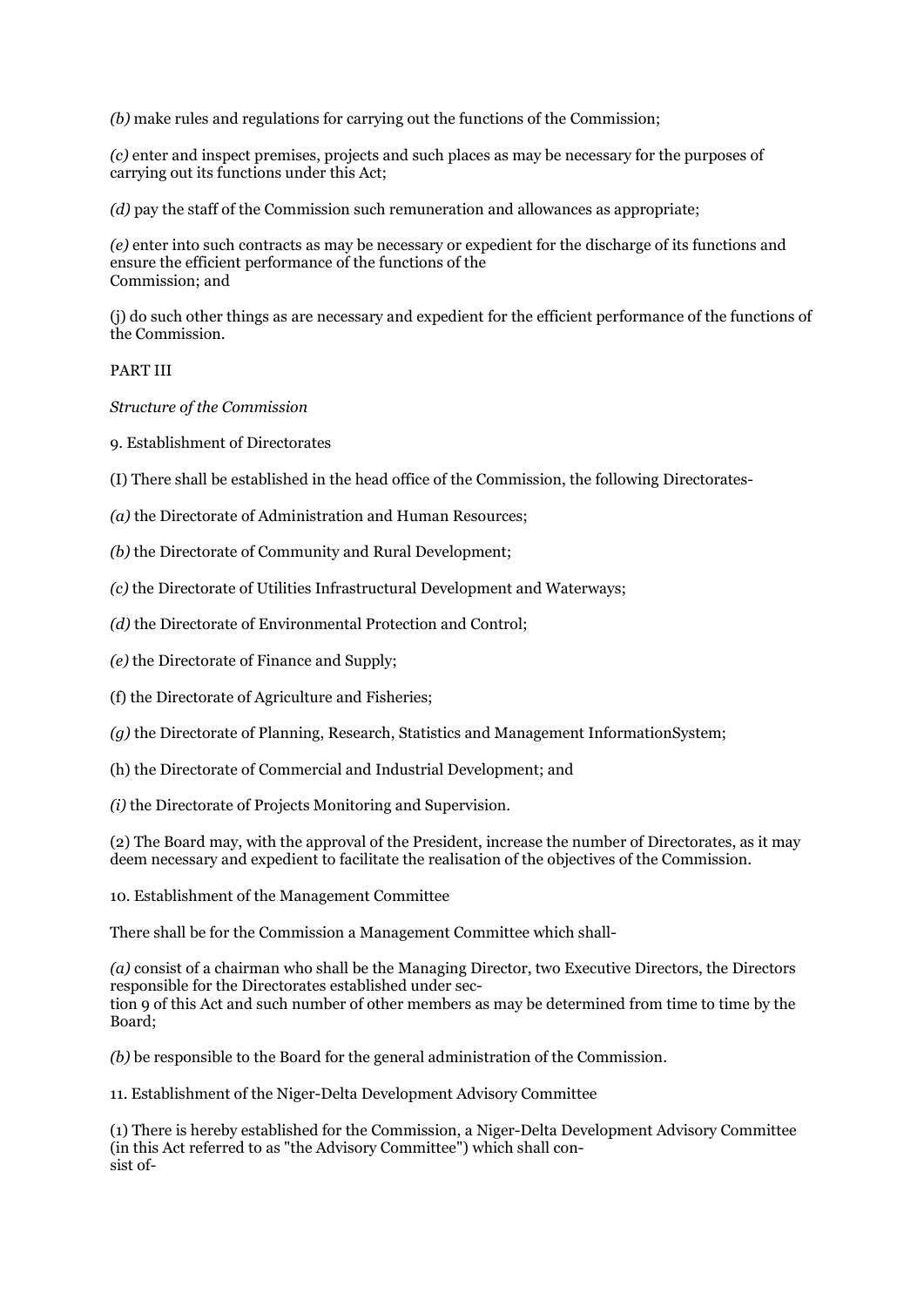*(b)* make rules and regulations for carrying out the functions of the Commission;

*(c)* enter and inspect premises, projects and such places as may be necessary for the purposes of carrying out its functions under this Act;

*(d)* pay the staff of the Commission such remuneration and allowances as appropriate;

*(e)* enter into such contracts as may be necessary or expedient for the discharge of its functions and ensure the efficient performance of the functions of the Commission; and

(j) do such other things as are necessary and expedient for the efficient performance of the functions of the Commission.

#### PART III

*Structure of the Commission*

9. Establishment of Directorates

(I) There shall be established in the head office of the Commission, the following Directorates-

*(a)* the Directorate of Administration and Human Resources;

*(b)* the Directorate of Community and Rural Development;

*(c)* the Directorate of Utilities Infrastructural Development and Waterways;

- *(d)* the Directorate of Environmental Protection and Control;
- *(e)* the Directorate of Finance and Supply;
- (f) the Directorate of Agriculture and Fisheries;
- *(g)* the Directorate of Planning, Research, Statistics and Management InformationSystem;
- (h) the Directorate of Commercial and Industrial Development; and
- *(i)* the Directorate of Projects Monitoring and Supervision.

(2) The Board may, with the approval of the President, increase the number of Directorates, as it may deem necessary and expedient to facilitate the realisation of the objectives of the Commission.

10. Establishment of the Management Committee

There shall be for the Commission a Management Committee which shall-

*(a)* consist of a chairman who shall be the Managing Director, two Executive Directors, the Directors responsible for the Directorates established under section 9 of this Act and such number of other members as may be determined from time to time by the Board;

*(b)* be responsible to the Board for the general administration of the Commission.

11. Establishment of the Niger-Delta Development Advisory Committee

(1) There is hereby established for the Commission, a Niger-Delta Development Advisory Committee (in this Act referred to as "the Advisory Committee") which shall consist of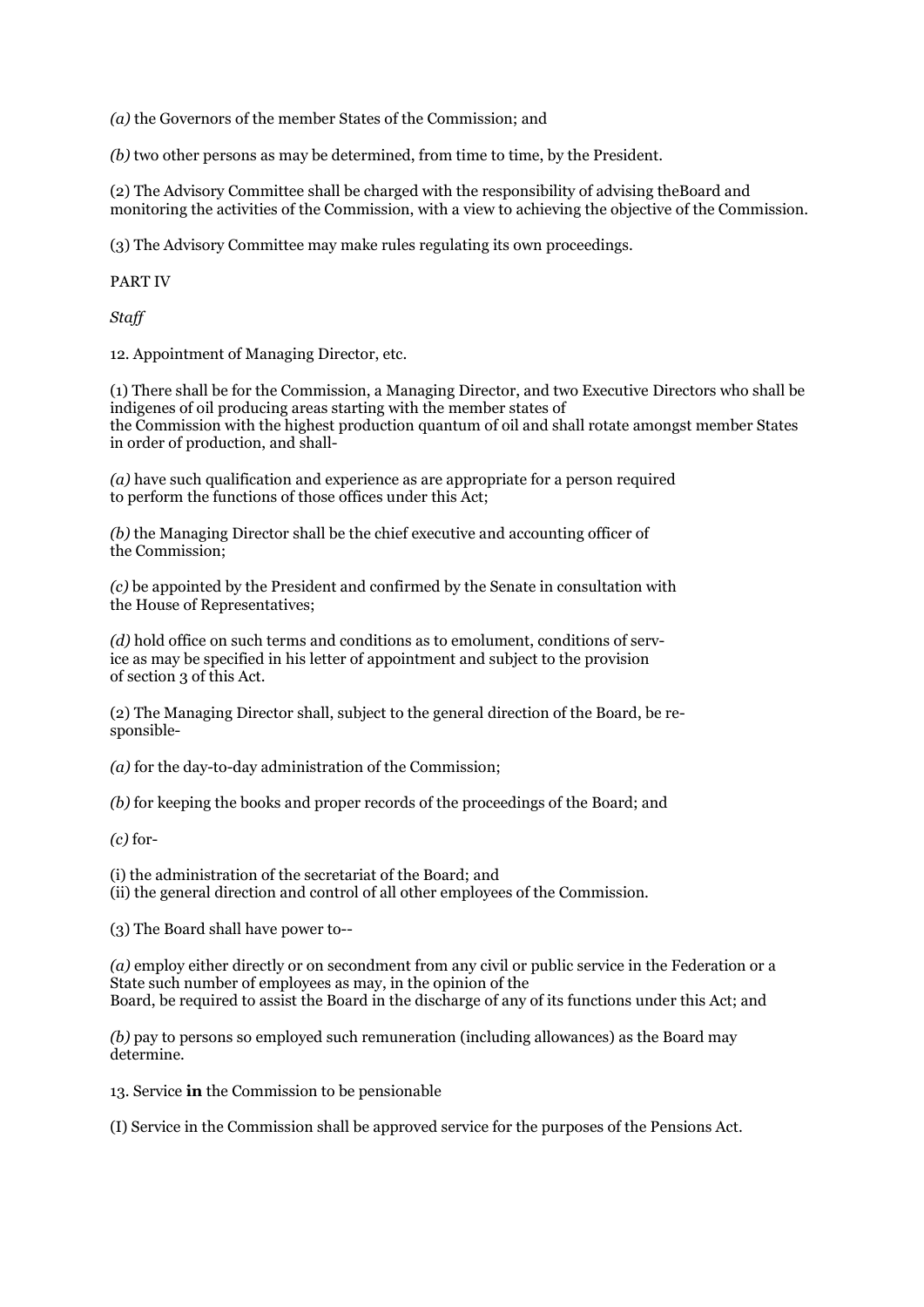*(a)* the Governors of the member States of the Commission; and

*(b)* two other persons as may be determined, from time to time, by the President.

(2) The Advisory Committee shall be charged with the responsibility of advising theBoard and monitoring the activities of the Commission, with a view to achieving the objective of the Commission.

(3) The Advisory Committee may make rules regulating its own proceedings.

PART IV

*Staff*

12. Appointment of Managing Director, etc.

(1) There shall be for the Commission, a Managing Director, and two Executive Directors who shall be indigenes of oil producing areas starting with the member states of the Commission with the highest production quantum of oil and shall rotate amongst member States in order of production, and shall-

*(a)* have such qualification and experience as are appropriate for a person required to perform the functions of those offices under this Act;

*(b)* the Managing Director shall be the chief executive and accounting officer of the Commission;

*(c)* be appointed by the President and confirmed by the Senate in consultation with the House of Representatives;

*(d)* hold office on such terms and conditions as to emolument, conditions of service as may be specified in his letter of appointment and subject to the provision of section 3 of this Act.

(2) The Managing Director shall, subject to the general direction of the Board, be responsible-

*(a)* for the day-to-day administration of the Commission;

*(b)* for keeping the books and proper records of the proceedings of the Board; and

*(c)* for-

(i) the administration of the secretariat of the Board; and (ii) the general direction and control of all other employees of the Commission.

(3) The Board shall have power to--

*(a)* employ either directly or on secondment from any civil or public service in the Federation or a State such number of employees as may, in the opinion of the Board, be required to assist the Board in the discharge of any of its functions under this Act; and

*(b)* pay to persons so employed such remuneration (including allowances) as the Board may determine.

13. Service **in** the Commission to be pensionable

(I) Service in the Commission shall be approved service for the purposes of the Pensions Act.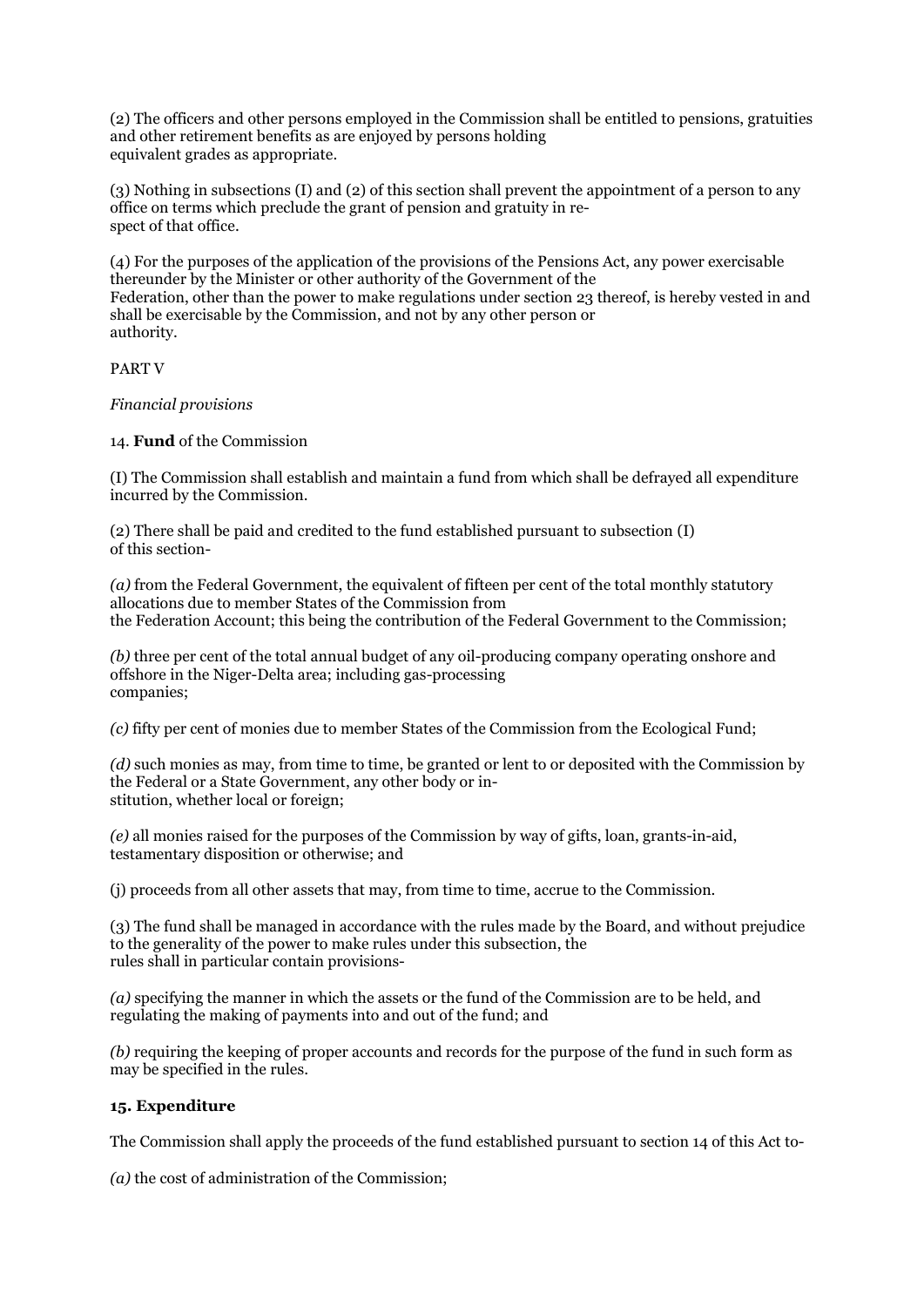(2) The officers and other persons employed in the Commission shall be entitled to pensions, gratuities and other retirement benefits as are enjoyed by persons holding equivalent grades as appropriate.

(3) Nothing in subsections (I) and (2) of this section shall prevent the appointment of a person to any office on terms which preclude the grant of pension and gratuity in respect of that office.

(4) For the purposes of the application of the provisions of the Pensions Act, any power exercisable thereunder by the Minister or other authority of the Government of the Federation, other than the power to make regulations under section 23 thereof, is hereby vested in and shall be exercisable by the Commission, and not by any other person or authority.

PART V

*Financial provisions*

14. **Fund** of the Commission

(I) The Commission shall establish and maintain a fund from which shall be defrayed all expenditure incurred by the Commission.

(2) There shall be paid and credited to the fund established pursuant to subsection (I) of this section-

*(a)* from the Federal Government, the equivalent of fifteen per cent of the total monthly statutory allocations due to member States of the Commission from the Federation Account; this being the contribution of the Federal Government to the Commission;

*(b)* three per cent of the total annual budget of any oil-producing company operating onshore and offshore in the Niger-Delta area; including gas-processing companies;

*(c)* fifty per cent of monies due to member States of the Commission from the Ecological Fund;

*(d)* such monies as may, from time to time, be granted or lent to or deposited with the Commission by the Federal or a State Government, any other body or institution, whether local or foreign;

*(e)* all monies raised for the purposes of the Commission by way of gifts, loan, grants-in-aid, testamentary disposition or otherwise; and

(j) proceeds from all other assets that may, from time to time, accrue to the Commission.

(3) The fund shall be managed in accordance with the rules made by the Board, and without prejudice to the generality of the power to make rules under this subsection, the rules shall in particular contain provisions-

*(a)* specifying the manner in which the assets or the fund of the Commission are to be held, and regulating the making of payments into and out of the fund; and

*(b)* requiring the keeping of proper accounts and records for the purpose of the fund in such form as may be specified in the rules.

## **15. Expenditure**

The Commission shall apply the proceeds of the fund established pursuant to section 14 of this Act to-

*(a)* the cost of administration of the Commission;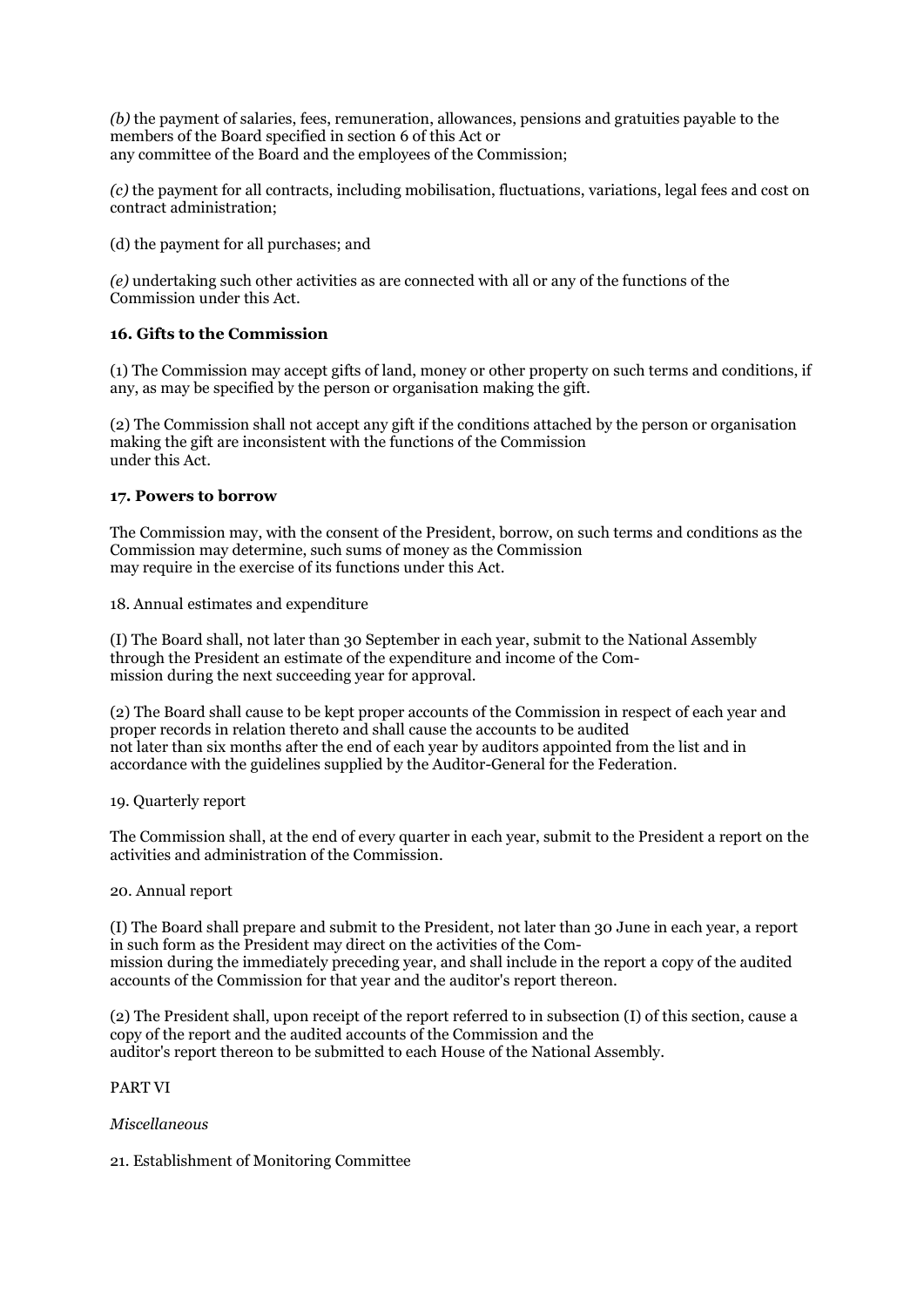*(b)* the payment of salaries, fees, remuneration, allowances, pensions and gratuities payable to the members of the Board specified in section 6 of this Act or any committee of the Board and the employees of the Commission;

*(c)* the payment for all contracts, including mobilisation, fluctuations, variations, legal fees and cost on contract administration;

(d) the payment for all purchases; and

*(e)* undertaking such other activities as are connected with all or any of the functions of the Commission under this Act.

## **16. Gifts to the Commission**

(1) The Commission may accept gifts of land, money or other property on such terms and conditions, if any, as may be specified by the person or organisation making the gift.

(2) The Commission shall not accept any gift if the conditions attached by the person or organisation making the gift are inconsistent with the functions of the Commission under this Act.

#### **17. Powers to borrow**

The Commission may, with the consent of the President, borrow, on such terms and conditions as the Commission may determine, such sums of money as the Commission may require in the exercise of its functions under this Act.

18. Annual estimates and expenditure

(I) The Board shall, not later than 30 September in each year, submit to the National Assembly through the President an estimate of the expenditure and income of the Commission during the next succeeding year for approval.

(2) The Board shall cause to be kept proper accounts of the Commission in respect of each year and proper records in relation thereto and shall cause the accounts to be audited not later than six months after the end of each year by auditors appointed from the list and in accordance with the guidelines supplied by the Auditor-General for the Federation.

#### 19. Quarterly report

The Commission shall, at the end of every quarter in each year, submit to the President a report on the activities and administration of the Commission.

#### 20. Annual report

(I) The Board shall prepare and submit to the President, not later than 30 June in each year, a report in such form as the President may direct on the activities of the Commission during the immediately preceding year, and shall include in the report a copy of the audited accounts of the Commission for that year and the auditor's report thereon.

(2) The President shall, upon receipt of the report referred to in subsection (I) of this section, cause a copy of the report and the audited accounts of the Commission and the auditor's report thereon to be submitted to each House of the National Assembly.

#### PART VI

#### *Miscellaneous*

21. Establishment of Monitoring Committee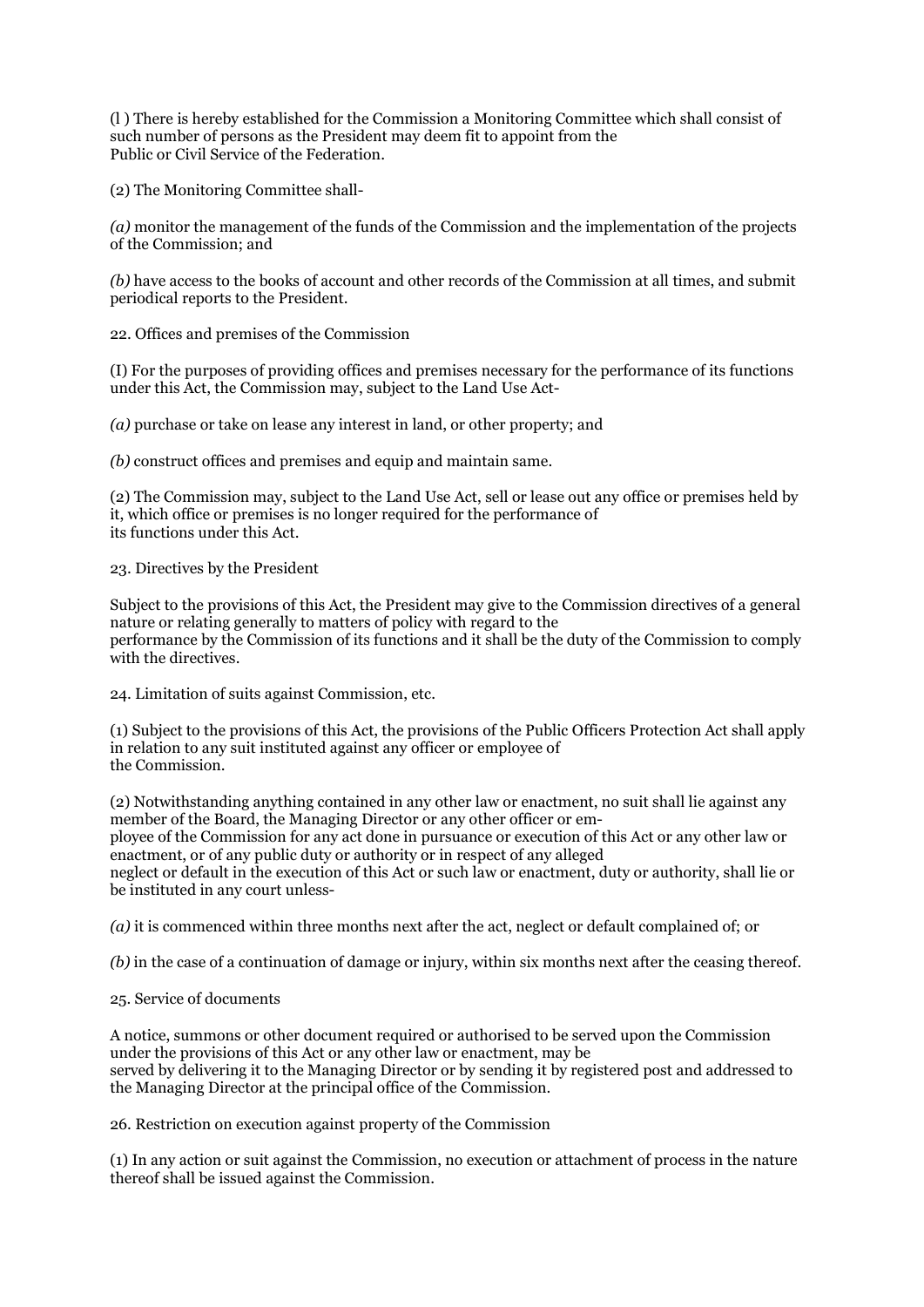(l ) There is hereby established for the Commission a Monitoring Committee which shall consist of such number of persons as the President may deem fit to appoint from the Public or Civil Service of the Federation.

(2) The Monitoring Committee shall-

*(a)* monitor the management of the funds of the Commission and the implementation of the projects of the Commission; and

*(b)* have access to the books of account and other records of the Commission at all times, and submit periodical reports to the President.

22. Offices and premises of the Commission

(I) For the purposes of providing offices and premises necessary for the performance of its functions under this Act, the Commission may, subject to the Land Use Act-

*(a)* purchase or take on lease any interest in land, or other property; and

*(b)* construct offices and premises and equip and maintain same.

(2) The Commission may, subject to the Land Use Act, sell or lease out any office or premises held by it, which office or premises is no longer required for the performance of its functions under this Act.

23. Directives by the President

Subject to the provisions of this Act, the President may give to the Commission directives of a general nature or relating generally to matters of policy with regard to the performance by the Commission of its functions and it shall be the duty of the Commission to comply with the directives.

24. Limitation of suits against Commission, etc.

(1) Subject to the provisions of this Act, the provisions of the Public Officers Protection Act shall apply in relation to any suit instituted against any officer or employee of the Commission.

(2) Notwithstanding anything contained in any other law or enactment, no suit shall lie against any member of the Board, the Managing Director or any other officer or employee of the Commission for any act done in pursuance or execution of this Act or any other law or enactment, or of any public duty or authority or in respect of any alleged neglect or default in the execution of this Act or such law or enactment, duty or authority, shall lie or be instituted in any court unless-

*(a)* it is commenced within three months next after the act, neglect or default complained of; or

*(b)* in the case of a continuation of damage or injury, within six months next after the ceasing thereof.

25. Service of documents

A notice, summons or other document required or authorised to be served upon the Commission under the provisions of this Act or any other law or enactment, may be served by delivering it to the Managing Director or by sending it by registered post and addressed to the Managing Director at the principal office of the Commission.

26. Restriction on execution against property of the Commission

(1) In any action or suit against the Commission, no execution or attachment of process in the nature thereof shall be issued against the Commission.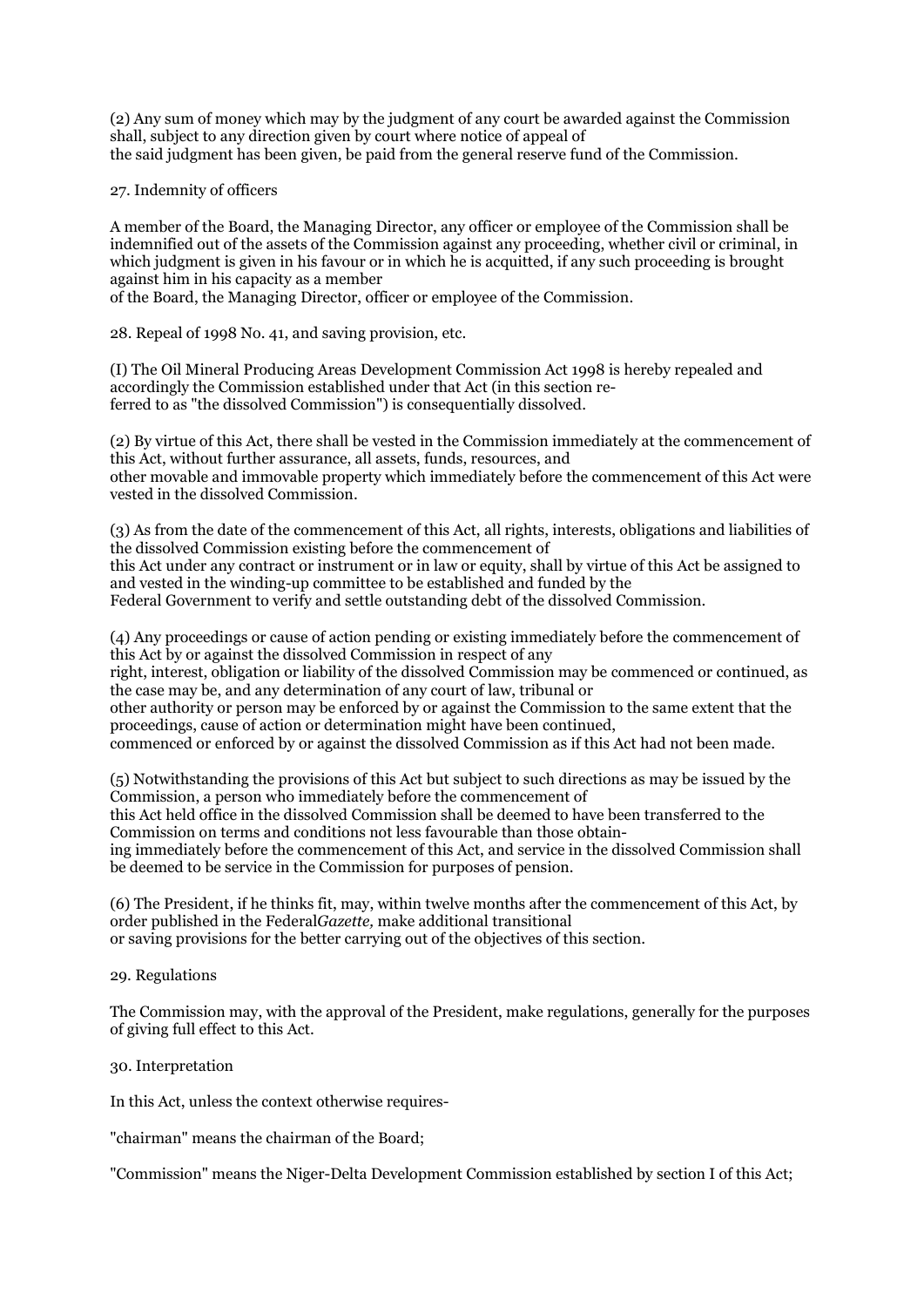(2) Any sum of money which may by the judgment of any court be awarded against the Commission shall, subject to any direction given by court where notice of appeal of the said judgment has been given, be paid from the general reserve fund of the Commission.

27. Indemnity of officers

A member of the Board, the Managing Director, any officer or employee of the Commission shall be indemnified out of the assets of the Commission against any proceeding, whether civil or criminal, in which judgment is given in his favour or in which he is acquitted, if any such proceeding is brought against him in his capacity as a member

of the Board, the Managing Director, officer or employee of the Commission.

28. Repeal of 1998 No. 41, and saving provision, etc.

(I) The Oil Mineral Producing Areas Development Commission Act 1998 is hereby repealed and accordingly the Commission established under that Act (in this section referred to as "the dissolved Commission") is consequentially dissolved.

(2) By virtue of this Act, there shall be vested in the Commission immediately at the commencement of this Act, without further assurance, all assets, funds, resources, and other movable and immovable property which immediately before the commencement of this Act were vested in the dissolved Commission.

(3) As from the date of the commencement of this Act, all rights, interests, obligations and liabilities of the dissolved Commission existing before the commencement of this Act under any contract or instrument or in law or equity, shall by virtue of this Act be assigned to and vested in the winding-up committee to be established and funded by the Federal Government to verify and settle outstanding debt of the dissolved Commission.

(4) Any proceedings or cause of action pending or existing immediately before the commencement of this Act by or against the dissolved Commission in respect of any right, interest, obligation or liability of the dissolved Commission may be commenced or continued, as the case may be, and any determination of any court of law, tribunal or other authority or person may be enforced by or against the Commission to the same extent that the proceedings, cause of action or determination might have been continued, commenced or enforced by or against the dissolved Commission as if this Act had not been made.

(5) Notwithstanding the provisions of this Act but subject to such directions as may be issued by the Commission, a person who immediately before the commencement of this Act held office in the dissolved Commission shall be deemed to have been transferred to the Commission on terms and conditions not less favourable than those obtaining immediately before the commencement of this Act, and service in the dissolved Commission shall be deemed to be service in the Commission for purposes of pension.

(6) The President, if he thinks fit, may, within twelve months after the commencement of this Act, by order published in the Federal*Gazette,* make additional transitional or saving provisions for the better carrying out of the objectives of this section.

29. Regulations

The Commission may, with the approval of the President, make regulations, generally for the purposes of giving full effect to this Act.

30. Interpretation

In this Act, unless the context otherwise requires-

"chairman" means the chairman of the Board;

"Commission" means the Niger-Delta Development Commission established by section I of this Act;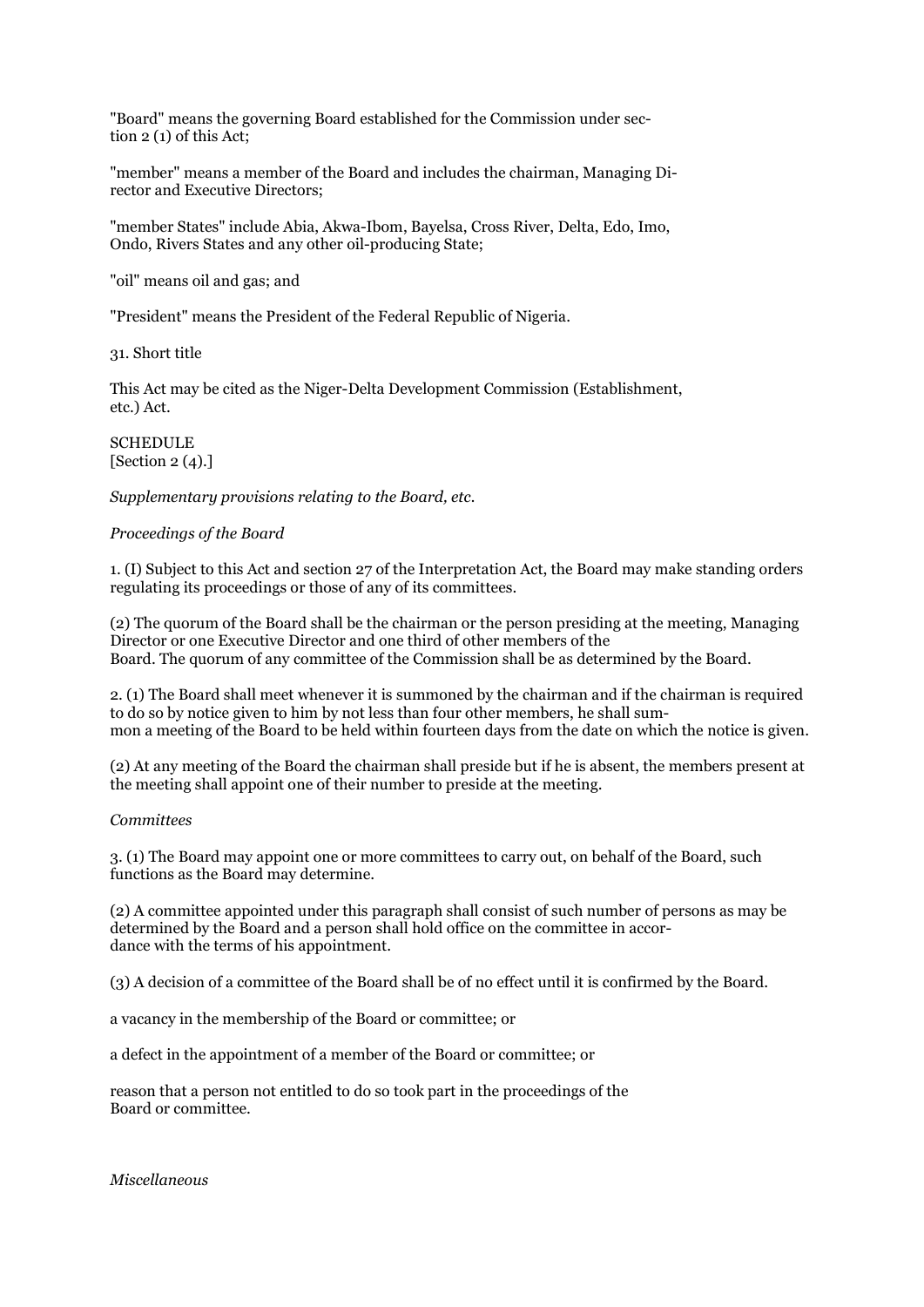"Board" means the governing Board established for the Commission under section 2 (1) of this Act;

"member" means a member of the Board and includes the chairman, Managing Director and Executive Directors;

"member States" include Abia, Akwa-Ibom, Bayelsa, Cross River, Delta, Edo, Imo, Ondo, Rivers States and any other oil-producing State;

"oil" means oil and gas; and

"President" means the President of the Federal Republic of Nigeria.

31. Short title

This Act may be cited as the Niger-Delta Development Commission (Establishment, etc.) Act.

SCHEDULE  $[Section 2 (4).]$ 

*Supplementary provisions relating to the Board, etc.*

#### *Proceedings of the Board*

1. (I) Subject to this Act and section 27 of the Interpretation Act, the Board may make standing orders regulating its proceedings or those of any of its committees.

(2) The quorum of the Board shall be the chairman or the person presiding at the meeting, Managing Director or one Executive Director and one third of other members of the Board. The quorum of any committee of the Commission shall be as determined by the Board.

2. (1) The Board shall meet whenever it is summoned by the chairman and if the chairman is required to do so by notice given to him by not less than four other members, he shall summon a meeting of the Board to be held within fourteen days from the date on which the notice is given.

(2) At any meeting of the Board the chairman shall preside but if he is absent, the members present at the meeting shall appoint one of their number to preside at the meeting.

#### *Committees*

3. (1) The Board may appoint one or more committees to carry out, on behalf of the Board, such functions as the Board may determine.

(2) A committee appointed under this paragraph shall consist of such number of persons as may be determined by the Board and a person shall hold office on the committee in accordance with the terms of his appointment.

(3) A decision of a committee of the Board shall be of no effect until it is confirmed by the Board.

a vacancy in the membership of the Board or committee; or

a defect in the appointment of a member of the Board or committee; or

reason that a person not entitled to do so took part in the proceedings of the Board or committee.

*Miscellaneous*